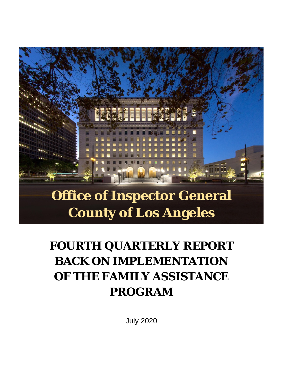# **Office of Inspector General**

# **County of Los Angeles**

## **FOURTH QUARTERLY REPORT BACK ON IMPLEMENTATION OF THE FAMILY ASSISTANCE PROGRAM**

July 2020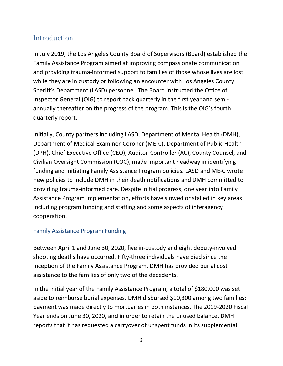### Introduction

In July 2019, the Los Angeles County Board of Supervisors (Board) established the Family Assistance Program aimed at improving compassionate communication and providing trauma-informed support to families of those whose lives are lost while they are in custody or following an encounter with Los Angeles County Sheriff's Department (LASD) personnel. The Board instructed the Office of Inspector General (OIG) to report back quarterly in the first year and semiannually thereafter on the progress of the program. This is the OIG's fourth quarterly report.

Initially, County partners including LASD, Department of Mental Health (DMH), Department of Medical Examiner-Coroner (ME-C), Department of Public Health (DPH), Chief Executive Office (CEO), Auditor-Controller (AC), County Counsel, and Civilian Oversight Commission (COC), made important headway in identifying funding and initiating Family Assistance Program policies. LASD and ME-C wrote new policies to include DMH in their death notifications and DMH committed to providing trauma-informed care. Despite initial progress, one year into Family Assistance Program implementation, efforts have slowed or stalled in key areas including program funding and staffing and some aspects of interagency cooperation.

### Family Assistance Program Funding

Between April 1 and June 30, 2020, five in-custody and eight deputy-involved shooting deaths have occurred. Fifty-three individuals have died since the inception of the Family Assistance Program. DMH has provided burial cost assistance to the families of only two of the decedents.

In the initial year of the Family Assistance Program, a total of \$180,000 was set aside to reimburse burial expenses. DMH disbursed \$10,300 among two families; payment was made directly to mortuaries in both instances. The 2019-2020 Fiscal Year ends on June 30, 2020, and in order to retain the unused balance, DMH reports that it has requested a carryover of unspent funds in its supplemental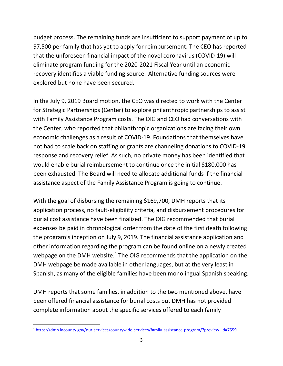budget process. The remaining funds are insufficient to support payment of up to \$7,500 per family that has yet to apply for reimbursement. The CEO has reported that the unforeseen financial impact of the novel coronavirus (COVID-19) will eliminate program funding for the 2020-2021 Fiscal Year until an economic recovery identifies a viable funding source. Alternative funding sources were explored but none have been secured.

In the July 9, 2019 Board motion, the CEO was directed to work with the Center for Strategic Partnerships (Center) to explore philanthropic partnerships to assist with Family Assistance Program costs. The OIG and CEO had conversations with the Center, who reported that philanthropic organizations are facing their own economic challenges as a result of COVID-19. Foundations that themselves have not had to scale back on staffing or grants are channeling donations to COVID-19 response and recovery relief. As such, no private money has been identified that would enable burial reimbursement to continue once the initial \$180,000 has been exhausted. The Board will need to allocate additional funds if the financial assistance aspect of the Family Assistance Program is going to continue.

With the goal of disbursing the remaining \$169,700, DMH reports that its application process, no fault-eligibility criteria, and disbursement procedures for burial cost assistance have been finalized. The OIG recommended that burial expenses be paid in chronological order from the date of the first death following the program's inception on July 9, 2019. The financial assistance application and other information regarding the program can be found online on a newly created webpage on the DMH website. $1$  The OIG recommends that the application on the DMH webpage be made available in other languages, but at the very least in Spanish, as many of the eligible families have been monolingual Spanish speaking.

DMH reports that some families, in addition to the two mentioned above, have been offered financial assistance for burial costs but DMH has not provided complete information about the specific services offered to each family

<span id="page-2-0"></span><sup>1</sup> [https://dmh.lacounty.gov/our-services/countywide-services/family-assistance-program/?preview\\_id=7559](https://dmh.lacounty.gov/our-services/countywide-services/family-assistance-program/?preview_id=7559)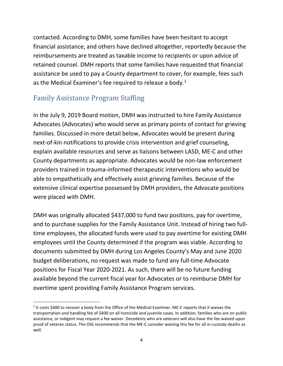contacted. According to DMH, some families have been hesitant to accept financial assistance, and others have declined altogether, reportedly because the reimbursements are treated as taxable income to recipients or upon advice of retained counsel. DMH reports that some families have requested that financial assistance be used to pay a County department to cover, for example, fees such as the Medical Examiner's fee required to release a body.<sup>[2](#page-3-0)</sup>

### Family Assistance Program Staffing

In the July 9, 2019 Board motion, DMH was instructed to hire Family Assistance Advocates (Advocates) who would serve as primary points of contact for grieving families. Discussed in more detail below, Advocates would be present during next-of-kin notifications to provide crisis intervention and grief counseling, explain available resources and serve as liaisons between LASD, ME-C and other County departments as appropriate. Advocates would be non-law enforcement providers trained in trauma-informed therapeutic interventions who would be able to empathetically and effectively assist grieving families. Because of the extensive clinical expertise possessed by DMH providers, the Advocate positions were placed with DMH.

DMH was originally allocated \$437,000 to fund two positions, pay for overtime, and to purchase supplies for the Family Assistance Unit. Instead of hiring two fulltime employees, the allocated funds were used to pay overtime for existing DMH employees until the County determined if the program was viable. According to documents submitted by DMH during Los Angeles County's May and June 2020 budget deliberations, no request was made to fund any full-time Advocate positions for Fiscal Year 2020-2021. As such, there will be no future funding available beyond the current fiscal year for Advocates or to reimburse DMH for overtime spent providing Family Assistance Program services.

<span id="page-3-0"></span> $2$  It costs \$400 to recover a body from the Office of the Medical Examiner. ME-C reports that it waives the transportation and handling fee of \$400 on all homicide and juvenile cases. In addition, families who are on public assistance, or indigent may request a fee waiver. Decedents who are veterans will also have the fee waived upon proof of veteran status. The OIG recommends that the ME-C consider waiving this fee for all in-custody deaths as well.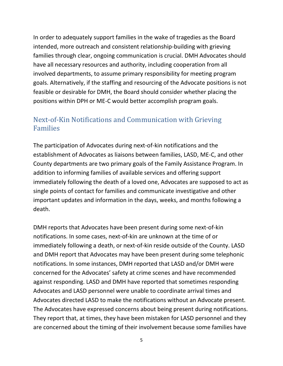In order to adequately support families in the wake of tragedies as the Board intended, more outreach and consistent relationship-building with grieving families through clear, ongoing communication is crucial. DMH Advocates should have all necessary resources and authority, including cooperation from all involved departments, to assume primary responsibility for meeting program goals. Alternatively, if the staffing and resourcing of the Advocate positions is not feasible or desirable for DMH, the Board should consider whether placing the positions within DPH or ME-C would better accomplish program goals.

### Next-of-Kin Notifications and Communication with Grieving Families

The participation of Advocates during next-of-kin notifications and the establishment of Advocates as liaisons between families, LASD, ME-C, and other County departments are two primary goals of the Family Assistance Program. In addition to informing families of available services and offering support immediately following the death of a loved one, Advocates are supposed to act as single points of contact for families and communicate investigative and other important updates and information in the days, weeks, and months following a death.

DMH reports that Advocates have been present during some next-of-kin notifications. In some cases, next-of-kin are unknown at the time of or immediately following a death, or next-of-kin reside outside of the County. LASD and DMH report that Advocates may have been present during some telephonic notifications. In some instances, DMH reported that LASD and/or DMH were concerned for the Advocates' safety at crime scenes and have recommended against responding. LASD and DMH have reported that sometimes responding Advocates and LASD personnel were unable to coordinate arrival times and Advocates directed LASD to make the notifications without an Advocate present. The Advocates have expressed concerns about being present during notifications. They report that, at times, they have been mistaken for LASD personnel and they are concerned about the timing of their involvement because some families have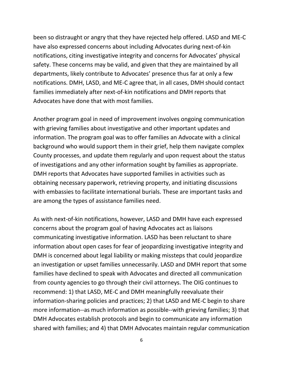been so distraught or angry that they have rejected help offered. LASD and ME-C have also expressed concerns about including Advocates during next-of-kin notifications, citing investigative integrity and concerns for Advocates' physical safety. These concerns may be valid, and given that they are maintained by all departments, likely contribute to Advocates' presence thus far at only a few notifications. DMH, LASD, and ME-C agree that, in all cases, DMH should contact families immediately after next-of-kin notifications and DMH reports that Advocates have done that with most families.

Another program goal in need of improvement involves ongoing communication with grieving families about investigative and other important updates and information. The program goal was to offer families an Advocate with a clinical background who would support them in their grief, help them navigate complex County processes, and update them regularly and upon request about the status of investigations and any other information sought by families as appropriate. DMH reports that Advocates have supported families in activities such as obtaining necessary paperwork, retrieving property, and initiating discussions with embassies to facilitate international burials. These are important tasks and are among the types of assistance families need.

As with next-of-kin notifications, however, LASD and DMH have each expressed concerns about the program goal of having Advocates act as liaisons communicating investigative information. LASD has been reluctant to share information about open cases for fear of jeopardizing investigative integrity and DMH is concerned about legal liability or making missteps that could jeopardize an investigation or upset families unnecessarily. LASD and DMH report that some families have declined to speak with Advocates and directed all communication from county agencies to go through their civil attorneys. The OIG continues to recommend: 1) that LASD, ME-C and DMH meaningfully reevaluate their information-sharing policies and practices; 2) that LASD and ME-C begin to share more information--as much information as possible--with grieving families; 3) that DMH Advocates establish protocols and begin to communicate any information shared with families; and 4) that DMH Advocates maintain regular communication

6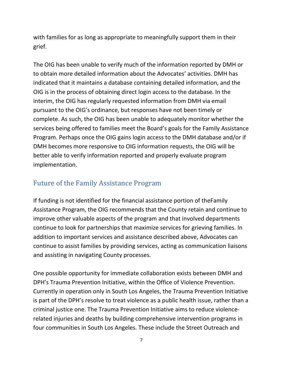with families for as long as appropriate to meaningfully support them in their grief.

The OIG has been unable to verify much of the information reported by DMH or to obtain more detailed information about the Advocates' activities. DMH has indicated that it maintains a database containing detailed information, and the OIG is in the process of obtaining direct login access to the database. In the interim, the OIG has regularly requested information from DMH via email pursuant to the OIG's ordinance, but responses have not been timely or complete. As such, the OIG has been unable to adequately monitor whether the services being offered to families meet the Board's goals for the Family Assistance Program. Perhaps once the OIG gains login access to the DMH database and/or if DMH becomes more responsive to OIG information requests, the OIG will be better able to verify information reported and properly evaluate program implementation.

### Future of the Family Assistance Program

If funding is not identified for the financial assistance portion of theFamily Assistance Program, the OIG recommends that the County retain and continue to improve other valuable aspects of the program and that involved departments continue to look for partnerships that maximize services for grieving families. In addition to important services and assistance described above, Advocates can continue to assist families by providing services, acting as communication liaisons and assisting in navigating County processes.

One possible opportunity for immediate collaboration exists between DMH and DPH's Trauma Prevention Initiative, within the Office of Violence Prevention. Currently in operation only in South Los Angeles, the Trauma Prevention Initiative is part of the DPH's resolve to treat violence as a public health issue, rather than a criminal justice one. The Trauma Prevention Initiative aims to reduce violencerelated injuries and deaths by building comprehensive intervention programs in four communities in South Los Angeles. These include the Street Outreach and